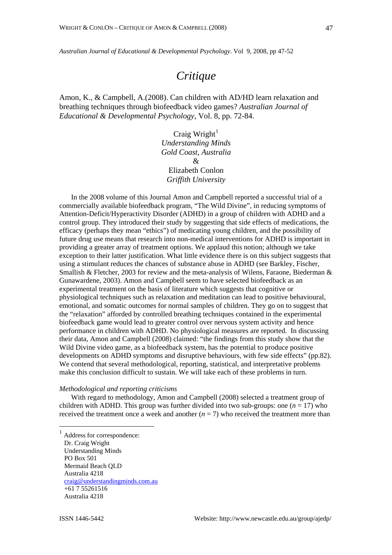*Australian Journal of Educational & Developmental Psychology*. Vol 9, 2008, pp 47-52

# *Critique*

Amon, K., & Campbell, A.(2008). Can children with AD/HD learn relaxation and breathing techniques through biofeedback video games? *Australian Journal of Educational & Developmental Psychology,* Vol. 8, pp. 72-84.

> Craig  $Write<sup>1</sup>$  $Write<sup>1</sup>$  $Write<sup>1</sup>$ *Understanding Minds Gold Coast, Australia* & Elizabeth Conlon *Griffith University*

In the 2008 volume of this Journal Amon and Campbell reported a successful trial of a commercially available biofeedback program, "The Wild Divine", in reducing symptoms of Attention-Deficit/Hyperactivity Disorder (ADHD) in a group of children with ADHD and a control group. They introduced their study by suggesting that side effects of medications, the efficacy (perhaps they mean "ethics") of medicating young children, and the possibility of future drug use means that research into non-medical interventions for ADHD is important in providing a greater array of treatment options. We applaud this notion; although we take exception to their latter justification. What little evidence there is on this subject suggests that using a stimulant reduces the chances of substance abuse in ADHD (see Barkley, Fischer, Smallish & Fletcher, 2003 for review and the meta-analysis of Wilens, Faraone, Biederman & Gunawardene, 2003). Amon and Campbell seem to have selected biofeedback as an experimental treatment on the basis of literature which suggests that cognitive or physiological techniques such as relaxation and meditation can lead to positive behavioural, emotional, and somatic outcomes for normal samples of children. They go on to suggest that the "relaxation" afforded by controlled breathing techniques contained in the experimental biofeedback game would lead to greater control over nervous system activity and hence performance in children with ADHD. No physiological measures are reported. In discussing their data, Amon and Campbell (2008) claimed: "the findings from this study show that the Wild Divine video game, as a biofeedback system, has the potential to produce positive developments on ADHD symptoms and disruptive behaviours, with few side effects" (pp.82). We contend that several methodological, reporting, statistical, and interpretative problems make this conclusion difficult to sustain. We will take each of these problems in turn.

## *Methodological and reporting criticisms*

With regard to methodology, Amon and Campbell (2008) selected a treatment group of children with ADHD. This group was further divided into two sub-groups: one  $(n = 17)$  who received the treatment once a week and another  $(n = 7)$  who received the treatment more than

<span id="page-0-0"></span><sup>1</sup> Address for correspondence: Dr. Craig Wright Understanding Minds PO Box 501 Mermaid Beach QLD Australia 4218 [craig@understandingminds.com.au](mailto:craig@LLLCentre.com.au) +61 7 55261516 Australia 4218

 $\overline{a}$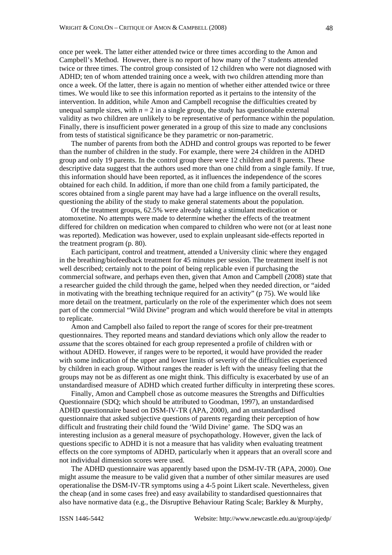once per week. The latter either attended twice or three times according to the Amon and Campbell's Method. However, there is no report of how many of the 7 students attended twice or three times. The control group consisted of 12 children who were not diagnosed with ADHD; ten of whom attended training once a week, with two children attending more than once a week. Of the latter, there is again no mention of whether either attended twice or three times. We would like to see this information reported as it pertains to the intensity of the intervention. In addition, while Amon and Campbell recognise the difficulties created by unequal sample sizes, with  $n = 2$  in a single group, the study has questionable external validity as two children are unlikely to be representative of performance within the population. Finally, there is insufficient power generated in a group of this size to made any conclusions from tests of statistical significance be they parametric or non-parametric.

The number of parents from both the ADHD and control groups was reported to be fewer than the number of children in the study. For example, there were 24 children in the ADHD group and only 19 parents. In the control group there were 12 children and 8 parents. These descriptive data suggest that the authors used more than one child from a single family. If true, this information should have been reported, as it influences the independence of the scores obtained for each child. In addition, if more than one child from a family participated, the scores obtained from a single parent may have had a large influence on the overall results, questioning the ability of the study to make general statements about the population.

Of the treatment groups, 62.5% were already taking a stimulant medication or atomoxetine. No attempts were made to determine whether the effects of the treatment differed for children on medication when compared to children who were not (or at least none was reported). Medication was however, used to explain unpleasant side-effects reported in the treatment program (p. 80).

Each participant, control and treatment, attended a University clinic where they engaged in the breathing/biofeedback treatment for 45 minutes per session. The treatment itself is not well described; certainly not to the point of being replicable even if purchasing the commercial software, and perhaps even then, given that Amon and Campbell (2008) state that a researcher guided the child through the game, helped when they needed direction, or "aided in motivating with the breathing technique required for an activity" ( $p$  75). We would like more detail on the treatment, particularly on the role of the experimenter which does not seem part of the commercial "Wild Divine" program and which would therefore be vital in attempts to replicate.

Amon and Campbell also failed to report the range of scores for their pre-treatment questionnaires. They reported means and standard deviations which only allow the reader to *assume* that the scores obtained for each group represented a profile of children with or without ADHD. However, if ranges were to be reported, it would have provided the reader with some indication of the upper and lower limits of severity of the difficulties experienced by children in each group. Without ranges the reader is left with the uneasy feeling that the groups may not be as different as one might think. This difficulty is exacerbated by use of an unstandardised measure of ADHD which created further difficulty in interpreting these scores.

Finally, Amon and Campbell chose as outcome measures the Strengths and Difficulties Questionnaire (SDQ; which should be attributed to Goodman, 1997), an unstandardised ADHD questionnaire based on DSM-IV-TR (APA, 2000), and an unstandardised questionnaire that asked subjective questions of parents regarding their perception of how difficult and frustrating their child found the 'Wild Divine' game. The SDQ was an interesting inclusion as a general measure of psychopathology. However, given the lack of questions specific to ADHD it is not a measure that has validity when evaluating treatment effects on the core symptoms of ADHD, particularly when it appears that an overall score and not individual dimension scores were used.

The ADHD questionnaire was apparently based upon the DSM-IV-TR (APA, 2000). One might assume the measure to be valid given that a number of other similar measures are used operationalise the DSM-IV-TR symptoms using a 4-5 point Likert scale. Nevertheless, given the cheap (and in some cases free) and easy availability to standardised questionnaires that also have normative data (e.g., the Disruptive Behaviour Rating Scale; Barkley & Murphy,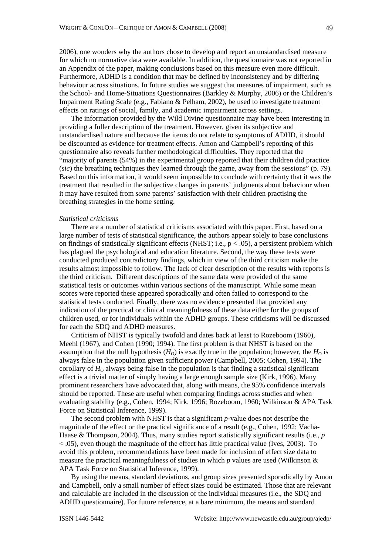2006), one wonders why the authors chose to develop and report an unstandardised measure for which no normative data were available. In addition, the questionnaire was not reported in an Appendix of the paper, making conclusions based on this measure even more difficult. Furthermore, ADHD is a condition that may be defined by inconsistency and by differing behaviour across situations. In future studies we suggest that measures of impairment, such as the School- and Home-Situations Questionnaires (Barkley & Murphy, 2006) or the Children's Impairment Rating Scale (e.g., Fabiano & Pelham, 2002), be used to investigate treatment effects on ratings of social, family, and academic impairment across settings.

The information provided by the Wild Divine questionnaire may have been interesting in providing a fuller description of the treatment. However, given its subjective and unstandardised nature and because the items do not relate to symptoms of ADHD, it should be discounted as evidence for treatment effects. Amon and Campbell's reporting of this questionnaire also reveals further methodological difficulties. They reported that the "majority of parents (54%) in the experimental group reported that their children did practice (*sic*) the breathing techniques they learned through the game, away from the sessions" (p. 79). Based on this information, it would seem impossible to conclude with certainty that it was the treatment that resulted in the subjective changes in parents' judgments about behaviour when it may have resulted from *some* parents' satisfaction with their children practising the breathing strategies in the home setting.

#### *Statistical criticisms*

There are a number of statistical criticisms associated with this paper. First, based on a large number of tests of statistical significance, the authors appear solely to base conclusions on findings of statistically significant effects (NHST; i.e.,  $p < .05$ ), a persistent problem which has plagued the psychological and education literature. Second, the way these tests were conducted produced contradictory findings, which in view of the third criticism make the results almost impossible to follow. The lack of clear description of the results with reports is the third criticism. Different descriptions of the same data were provided of the same statistical tests or outcomes within various sections of the manuscript. While some mean scores were reported these appeared sporadically and often failed to correspond to the statistical tests conducted. Finally, there was no evidence presented that provided any indication of the practical or clinical meaningfulness of these data either for the groups of children used, or for individuals within the ADHD groups. These criticisms will be discussed for each the SDQ and ADHD measures.

Criticism of NHST is typically twofold and dates back at least to Rozeboom (1960), Meehl (1967), and Cohen (1990; 1994). The first problem is that NHST is based on the assumption that the null hypothesis  $(H<sub>0</sub>)$  is exactly true in the population; however, the  $H<sub>0</sub>$  is always false in the population given sufficient power (Campbell, 2005; Cohen, 1994). The corollary of  $H_0$  always being false in the population is that finding a statistical significant effect is a trivial matter of simply having a large enough sample size (Kirk, 1996). Many prominent researchers have advocated that, along with means, the 95% confidence intervals should be reported. These are useful when comparing findings across studies and when evaluating stability (e.g., Cohen, 1994; Kirk, 1996; Rozeboom, 1960; Wilkinson & APA Task Force on Statistical Inference, 1999).

The second problem with NHST is that a significant *p*-value does not describe the magnitude of the effect or the practical significance of a result (e.g., Cohen, 1992; Vacha-Haase & Thompson, 2004). Thus, many studies report statistically significant results (i.e., *p* < .05), even though the magnitude of the effect has little practical value (Ives, 2003). To avoid this problem, recommendations have been made for inclusion of effect size data to measure the practical meaningfulness of studies in which *p* values are used (Wilkinson & APA Task Force on Statistical Inference, 1999).

By using the means, standard deviations, and group sizes presented sporadically by Amon and Campbell, only a small number of effect sizes could be estimated. Those that are relevant and calculable are included in the discussion of the individual measures (i.e., the SDQ and ADHD questionnaire). For future reference, at a bare minimum, the means and standard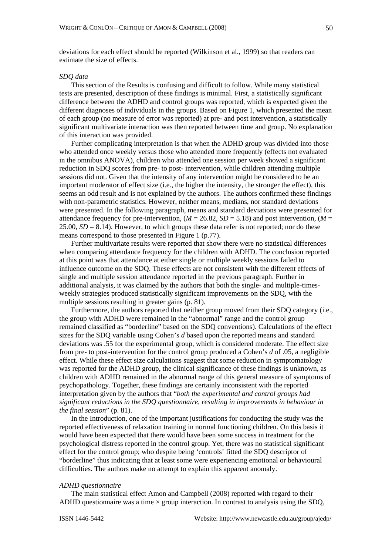deviations for each effect should be reported (Wilkinson et al., 1999) so that readers can estimate the size of effects.

# *SDQ data*

This section of the Results is confusing and difficult to follow. While many statistical tests are presented, description of these findings is minimal. First, a statistically significant difference between the ADHD and control groups was reported, which is expected given the different diagnoses of individuals in the groups. Based on Figure 1, which presented the mean of each group (no measure of error was reported) at pre- and post intervention, a statistically significant multivariate interaction was then reported between time and group. No explanation of this interaction was provided.

Further complicating interpretation is that when the ADHD group was divided into those who attended once weekly versus those who attended more frequently (effects not evaluated in the omnibus ANOVA), children who attended one session per week showed a significant reduction in SDQ scores from pre- to post- intervention, while children attending multiple sessions did not. Given that the intensity of any intervention might be considered to be an important moderator of effect size (i.e., the higher the intensity, the stronger the effect), this seems an odd result and is not explained by the authors. The authors confirmed these findings with non-parametric statistics. However, neither means, medians, nor standard deviations were presented. In the following paragraph, means and standard deviations were presented for attendance frequency for pre-intervention,  $(M = 26.82, SD = 5.18)$  and post intervention,  $(M = 26.82, SD = 5.18)$  $25.00, SD = 8.14$ ). However, to which groups these data refer is not reported; nor do these means correspond to those presented in Figure 1 (p.77).

Further multivariate results were reported that show there were no statistical differences when comparing attendance frequency for the children with ADHD. The conclusion reported at this point was that attendance at either single or multiple weekly sessions failed to influence outcome on the SDQ. These effects are not consistent with the different effects of single and multiple session attendance reported in the previous paragraph. Further in additional analysis, it was claimed by the authors that both the single- and multiple-timesweekly strategies produced statistically significant improvements on the SDQ, with the multiple sessions resulting in greater gains (p. 81).

Furthermore, the authors reported that neither group moved from their SDQ category (i.e., the group with ADHD were remained in the "abnormal" range and the control group remained classified as "borderline" based on the SDQ conventions). Calculations of the effect sizes for the SDQ variable using Cohen's *d* based upon the reported means and standard deviations was .55 for the experimental group, which is considered moderate. The effect size from pre- to post-intervention for the control group produced a Cohen's *d* of .05, a negligible effect. While these effect size calculations suggest that some reduction in symptomatology was reported for the ADHD group, the clinical significance of these findings is unknown, as children with ADHD remained in the abnormal range of this general measure of symptoms of psychopathology. Together, these findings are certainly inconsistent with the reported interpretation given by the authors that "*both the experimental and control groups had significant reductions in the SDQ questionnaire, resulting in improvements in behaviour in the final session*" (p. 81).

In the Introduction, one of the important justifications for conducting the study was the reported effectiveness of relaxation training in normal functioning children. On this basis it would have been expected that there would have been some success in treatment for the psychological distress reported in the control group. Yet, there was no statistical significant effect for the control group; who despite being 'controls' fitted the SDQ descriptor of "borderline" thus indicating that at least some were experiencing emotional or behavioural difficulties. The authors make no attempt to explain this apparent anomaly.

#### *ADHD questionnaire*

The main statistical effect Amon and Campbell (2008) reported with regard to their ADHD questionnaire was a time  $\times$  group interaction. In contrast to analysis using the SDQ,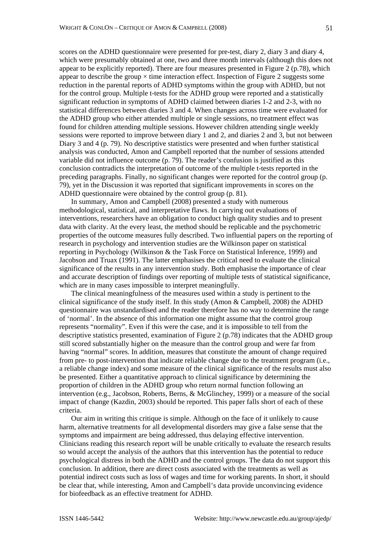scores on the ADHD questionnaire were presented for pre-test, diary 2, diary 3 and diary 4, which were presumably obtained at one, two and three month intervals (although this does not appear to be explicitly reported). There are four measures presented in Figure 2 (p.78), which appear to describe the group  $\times$  time interaction effect. Inspection of Figure 2 suggests some reduction in the parental reports of ADHD symptoms within the group with ADHD, but not for the control group. Multiple t-tests for the ADHD group were reported and a statistically significant reduction in symptoms of ADHD claimed between diaries 1-2 and 2-3, with no statistical differences between diaries 3 and 4. When changes across time were evaluated for the ADHD group who either attended multiple or single sessions, no treatment effect was found for children attending multiple sessions. However children attending single weekly sessions were reported to improve between diary 1 and 2, and diaries 2 and 3, but not between Diary 3 and 4 (p. 79). No descriptive statistics were presented and when further statistical analysis was conducted, Amon and Campbell reported that the number of sessions attended variable did not influence outcome (p. 79). The reader's confusion is justified as this conclusion contradicts the interpretation of outcome of the multiple t-tests reported in the preceding paragraphs. Finally, no significant changes were reported for the control group (p. 79), yet in the Discussion it was reported that significant improvements in scores on the ADHD questionnaire were obtained by the control group (p. 81).

In summary, Amon and Campbell (2008) presented a study with numerous methodological, statistical, and interpretative flaws. In carrying out evaluations of interventions, researchers have an obligation to conduct high quality studies and to present data with clarity. At the every least, the method should be replicable and the psychometric properties of the outcome measures fully described. Two influential papers on the reporting of research in psychology and intervention studies are the Wilkinson paper on statistical reporting in Psychology (Wilkinson & the Task Force on Statistical Inference, 1999) and Jacobson and Truax (1991). The latter emphasises the critical need to evaluate the clinical significance of the results in any intervention study. Both emphasise the importance of clear and accurate description of findings over reporting of multiple tests of statistical significance, which are in many cases impossible to interpret meaningfully.

The clinical meaningfulness of the measures used within a study is pertinent to the clinical significance of the study itself. In this study (Amon & Campbell, 2008) the ADHD questionnaire was unstandardised and the reader therefore has no way to determine the range of 'normal'. In the absence of this information one might assume that the control group represents "normality". Even if this were the case, and it is impossible to tell from the descriptive statistics presented, examination of Figure 2 (p.78) indicates that the ADHD group still scored substantially higher on the measure than the control group and were far from having "normal" scores. In addition, measures that constitute the amount of change required from pre- to post-intervention that indicate reliable change due to the treatment program (i.e., a reliable change index) and some measure of the clinical significance of the results must also be presented. Either a quantitative approach to clinical significance by determining the proportion of children in the ADHD group who return normal function following an intervention (e.g., Jacobson, Roberts, Berns, & McGlinchey, 1999) or a measure of the social impact of change (Kazdin, 2003) should be reported. This paper falls short of each of these criteria.

Our aim in writing this critique is simple. Although on the face of it unlikely to cause harm, alternative treatments for all developmental disorders may give a false sense that the symptoms and impairment are being addressed, thus delaying effective intervention. Clinicians reading this research report will be unable critically to evaluate the research results so would accept the analysis of the authors that this intervention has the potential to reduce psychological distress in both the ADHD and the control groups. The data do not support this conclusion. In addition, there are direct costs associated with the treatments as well as potential indirect costs such as loss of wages and time for working parents. In short, it should be clear that, while interesting, Amon and Campbell's data provide unconvincing evidence for biofeedback as an effective treatment for ADHD.